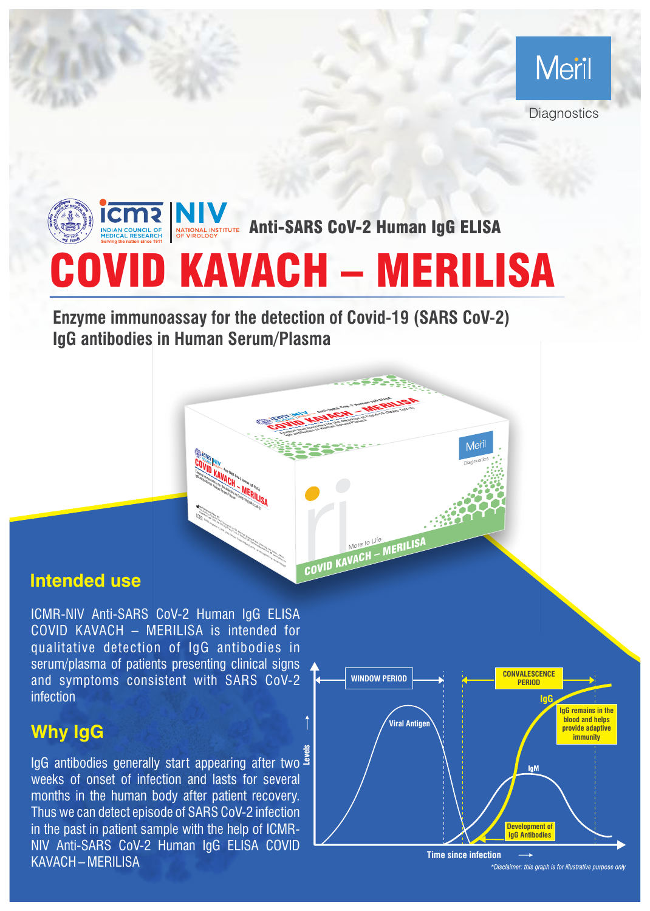

COVID KAVACH – MERILISA **ANTISTITUTE Anti-SARS CoV-2 Human IgG ELISA** 

> COVID KAVACH – MERILISA **ENDY IMMUNO ASSESSMENT COVID-19 (SARS COVID-19 (SARS)**

> > COVID KAVACH – MERILISA

**IGG antibodies in Human Service and Service and Service and Service and Service and Service and Service and Service and Service and Service and Service and Service and Service and Service and Service and Service and Servi** 

**Enzyme immunoassay for the detection of Covid-19 (SARS CoV-2) IgG antibodies in Human Serum/Plasma** 

> **Meril Diagnostics Pvt. Ltd.** Survery No. 135/2/B and 174/2, Second floor, D1-D3, Meril Park, Muktanand Marg, Chala, Vapi, Dist: Valsad – 396191 **Customer Care:** 1-800-266-3745 (Toll Free) | **<sup>F</sup>**: +91 22 39350777 | **<sup>E</sup>**: diagnostics@merillife.com | **<sup>W</sup>**: www.merillife.com EURZB, Ringstrasse 14, 35091 Coelbe, Germany | E-Mail: info@eurzb.de | Tel: +49 6421 88699 48 | Fax: +49 6421 88699 58 EC REP

**COVID KAVACH – MERILISA**<br>Gramman – MCH – MERILISA<br>Gramman – Merican – MERILISA<br>Les Construction – MERILISA **Anti-SARS Coverant Coverant Covid-2 Human Igg Elisa Covid-19 (SARS Covid-19 (SARS Covid-19 (SARS Covid-19 (SAR<br>Anti-SARS Covid-19 (SARS Covid-19 (SARS Covid-19 (SARS Covid-19 (SARS Covid-19 (SAR)<br>Anti-SARS Covid-19 (SARS IgG antibodies in Human Serum/Plasma** 

## **Intended use**

ICMR-NIV Anti-SARS CoV-2 Human IgG ELISA COVID KAVACH – MERILISA is intended for qualitative detection of IgG antibodies in serum/plasma of patients presenting clinical signs and symptoms consistent with SARS CoV-2 infection

## **Why IgG**

رَةِ<br><sup>8</sup> lgG antibodies generally start appearing after two weeks of onset of infection and lasts for several months in the human body after patient recovery. Thus we can detect episode of SARS CoV-2 infection in the past in patient sample with the help of ICMR-NIV Anti-SARS CoV-2 Human IgG ELISA COVID KAVACH – MERILISA



Mer

**Time since infection**